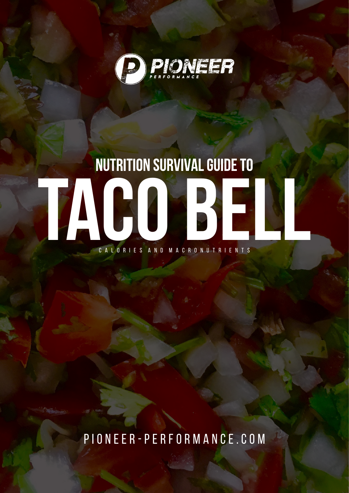

## **TACO BELL** C A L O R I E S A N D M A C R O N U T R I E N T S

pioneer-performance.com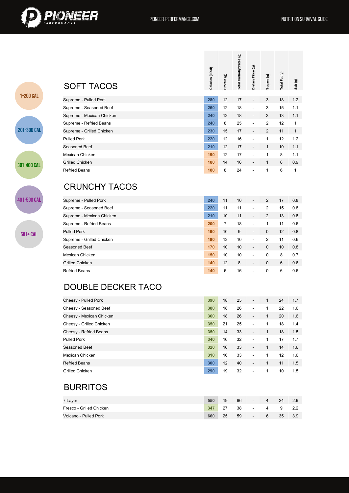

1-200 CAL

201-300 CAL

301-400 CAL

401-500 CAL

 $501 + CAL$ 

|                                                                                                                                                            | Calories (k/cal) | Protein (g)    | Total Carbohydrates (g) | Dietary Fibre (g) | Sugars (g)     | Total Fat (g) | Salt (g)     |
|------------------------------------------------------------------------------------------------------------------------------------------------------------|------------------|----------------|-------------------------|-------------------|----------------|---------------|--------------|
| <b>SOFT TACOS</b>                                                                                                                                          |                  |                |                         |                   |                |               |              |
| Supreme - Pulled Pork                                                                                                                                      | 280              | 12             | 17                      |                   | 3              | 18            | 1.2          |
| Supreme - Seasoned Beef                                                                                                                                    | 260              | 12             | 18                      |                   | 3              | 15            | 1.1          |
| Supreme - Mexican Chicken                                                                                                                                  | 240              | 12             | 18                      | $\overline{a}$    | 3              | 13            | 1.1          |
| Supreme - Refried Beans                                                                                                                                    | 240              | 8              | 25                      |                   | $\overline{2}$ | 12            | $\mathbf{1}$ |
| Supreme - Grilled Chicken                                                                                                                                  | 230              | 15             | 17                      |                   | $\overline{2}$ | 11            | $\mathbf{1}$ |
| <b>Pulled Pork</b>                                                                                                                                         | 220              | 12             | 16                      |                   | $\mathbf{1}$   | 12            | 1.2          |
| Seasoned Beef                                                                                                                                              | 210              | 12             | 17                      | $\overline{a}$    | $\mathbf{1}$   | 10            | 1.1          |
| Mexican Chicken                                                                                                                                            | 190              | 12             | 17                      | $\overline{a}$    | $\mathbf{1}$   | 8             | 1.1          |
|                                                                                                                                                            | 180              | 14             | 16                      |                   | $\mathbf{1}$   | 6             | 0.9          |
|                                                                                                                                                            |                  |                |                         |                   |                |               |              |
|                                                                                                                                                            | 180              | 8              | 24                      |                   | 1              | 6             |              |
| <b>CRUNCHY TACOS</b>                                                                                                                                       | 240              | 11             | 10                      |                   | $\overline{2}$ | 17            | 0.8          |
|                                                                                                                                                            | 220              | 11             | 11                      |                   | $\overline{2}$ | 15            | 0.8          |
|                                                                                                                                                            | 210              | 10             | 11                      |                   | $\overline{2}$ | 13            | 0.8          |
| <b>Grilled Chicken</b><br><b>Refried Beans</b><br>Supreme - Pulled Pork<br>Supreme - Seasoned Beef<br>Supreme - Mexican Chicken<br>Supreme - Refried Beans | 200              | $\overline{7}$ | 18                      |                   | $\mathbf{1}$   | 11            | 0.6          |
| <b>Pulled Pork</b>                                                                                                                                         | 190              | 10             | 9                       |                   | $\pmb{0}$      | 12            | 0.8          |
| Supreme - Grilled Chicken                                                                                                                                  | 190              | 13             | 10                      |                   | $\overline{2}$ | 11            | 0.6          |
| Seasoned Beef                                                                                                                                              | 170              | 10             | 10                      |                   | $\mathbf{0}$   | 10            | 0.8          |
| Mexican Chicken                                                                                                                                            | 150              | 10             | 10                      |                   | 0              | 8             | 0.7          |
| <b>Grilled Chicken</b>                                                                                                                                     | 140              | 12             | 8                       |                   | 0              | 6             | 0.6          |

## DOUBLE DECKER TACO

| Cheesy - Pulled Pork     | 390 | 18 | 25 | $\overline{\phantom{a}}$ | 1 | 24 | 1.7 |
|--------------------------|-----|----|----|--------------------------|---|----|-----|
| Cheesy - Seasoned Beef   | 380 | 18 | 26 | ٠                        |   | 22 | 1.6 |
| Cheesy - Mexican Chicken | 360 | 18 | 26 | $\overline{\phantom{a}}$ | 1 | 20 | 1.6 |
| Cheesy - Grilled Chicken | 350 | 21 | 25 | $\overline{\phantom{a}}$ | 1 | 18 | 1.4 |
| Cheesy - Refried Beans   | 350 | 14 | 33 | $\blacksquare$           | 1 | 18 | 1.5 |
| <b>Pulled Pork</b>       | 340 | 16 | 32 | $\blacksquare$           | 1 | 17 | 1.7 |
| Seasoned Beef            | 320 | 16 | 33 | $\blacksquare$           | 1 | 14 | 1.6 |
| Mexican Chicken          | 310 | 16 | 33 | ٠                        |   | 12 | 1.6 |
| <b>Refried Beans</b>     | 300 | 12 | 40 | $\overline{\phantom{a}}$ | 1 | 11 | 1.5 |
| Grilled Chicken          | 290 | 19 | 32 | $\overline{\phantom{a}}$ | 1 | 10 | 1.5 |

## BURRITOS

| 7 Layer                  | 550 | 19 | 66 | $\overline{\phantom{a}}$ | 4 | 24 | 2.9  |
|--------------------------|-----|----|----|--------------------------|---|----|------|
| Fresco - Grilled Chicken | 347 |    | 38 | $\overline{\phantom{a}}$ | 4 | 9  | -2.2 |
| Volcano - Pulled Pork    | 660 | 25 | 59 | $\overline{\phantom{a}}$ | 6 | 35 | 3.9  |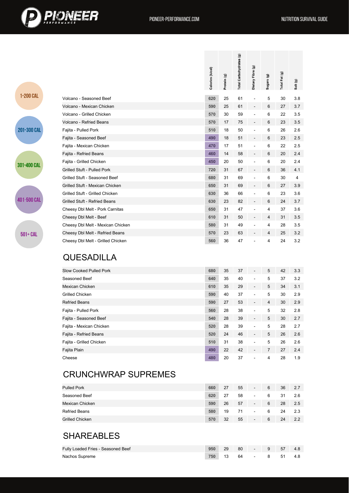



|             |                                                                                                              | Calories (k/cal)         | Protein (g)          | Total Carbohydrates (g) | Dietary Fibre (g)        | Sugars (g)          | Total Fat (g)        | Salt (g)                     |
|-------------|--------------------------------------------------------------------------------------------------------------|--------------------------|----------------------|-------------------------|--------------------------|---------------------|----------------------|------------------------------|
| 1-200 CAL   | Volcano - Seasoned Beef                                                                                      | 620                      | 25                   | 61                      | $\overline{a}$           | 5                   | 30                   | 3.8                          |
|             | Volcano - Mexican Chicken                                                                                    | 590                      | 25                   | 61                      | $\overline{a}$           | 6                   | 27                   | 3.7                          |
|             | Volcano - Grilled Chicken                                                                                    | 570                      | 30                   | 59                      | $\blacksquare$           | 6                   | 22                   | 3.5                          |
|             | Volcano - Refried Beans                                                                                      | 570                      | 17                   | 75                      | $\overline{\phantom{a}}$ | 6                   | 23                   | $3.5\,$                      |
| 201-300 CAL | Fajita - Pulled Pork                                                                                         | 510                      | 18                   | 50                      | $\overline{a}$           | 6                   | 26                   | 2.6                          |
|             | Fajita - Seasoned Beef                                                                                       | 490                      | 18                   | 51                      | $\overline{\phantom{a}}$ | 6                   | 23                   | 2.5                          |
|             | Fajita - Mexican Chicken                                                                                     | 470                      | 17                   | 51                      | $\overline{a}$           | 6                   | 22                   | 2.5                          |
|             | Fajita - Refried Beans                                                                                       | 460                      | 14                   | 58                      | $\overline{a}$           | 6                   | 20                   | 2.4                          |
|             | Fajita - Grilled Chicken                                                                                     | 450                      | 20                   | 50                      | $\ddot{\phantom{1}}$     | 6                   | 20                   | 2.4                          |
| 301-400 CAL | Grilled Stuft - Pulled Pork                                                                                  | 720                      | 31                   | 67                      |                          | 6                   | 36                   | 4.1                          |
|             | Grilled Stuft - Seasoned Beef                                                                                | 680                      | 31                   | 69                      | $\ddot{\phantom{1}}$     | 6                   | 30                   | 4                            |
|             | Grilled Stuft - Mexican Chicken                                                                              | 650                      | 31                   | 69                      | $\blacksquare$           | 6                   | 27                   | $3.9\,$                      |
|             | Grilled Stuft - Grilled Chicken                                                                              | 630                      | 36                   | 66                      | $\overline{a}$           | 6                   | 23                   | 3.6                          |
| 401-500 CAL | Grilled Stuft - Refried Beans                                                                                | 630                      | 23                   | 82                      | $\blacksquare$           | 6                   | 24                   | 3.7                          |
|             | Cheesy Dbl Melt - Pork Carnitas                                                                              | 650                      | 31                   | 47                      | $\overline{a}$           | 4                   | 37                   | 3.6                          |
|             | Cheesy Dbl Melt - Beef                                                                                       | 610                      | 31                   | 50                      | $\blacksquare$           | 4                   | 31                   | $3.5\,$                      |
|             | Cheesy Dbl Melt - Mexican Chicken                                                                            | 580                      | 31                   | 49                      | $\blacksquare$           | 4                   | 28                   | 3.5                          |
| 501+ CAL    | Cheesy Dbl Melt - Refried Beans                                                                              | 570                      | 23                   | 63                      | $\blacksquare$           | 4                   | 25                   | $3.2\,$                      |
|             | <b>QUESADILLA</b>                                                                                            |                          |                      |                         |                          |                     |                      |                              |
|             | <b>Slow Cooked Pulled Pork</b>                                                                               | 680                      | 35                   | 37                      | $\overline{\phantom{a}}$ | 5                   | 42                   | 3.3                          |
|             | Seasoned Beef                                                                                                | 640                      | 35                   | 40                      |                          | 5                   | 37                   | 3.2                          |
|             | <b>Mexican Chicken</b>                                                                                       | 610                      | 35                   | 29                      | $\overline{\phantom{a}}$ | 5                   | 34                   | 3.1                          |
|             | <b>Grilled Chicken</b>                                                                                       | 590                      | 40                   | 37                      |                          | 5                   | 30                   | 2.9                          |
|             | <b>Refried Beans</b>                                                                                         | 590                      | 27                   | 53                      |                          | 4                   | 30                   | 2.9                          |
|             | Fajita - Pulled Pork                                                                                         | 560                      | 28                   | 38                      |                          | 5                   | 32                   | 2.8                          |
|             | Fajita - Seasoned Beef                                                                                       | 540                      | 28                   | 39                      | $\overline{\phantom{a}}$ | 5                   | 30                   | 2.7                          |
|             | Fajita - Mexican Chicken                                                                                     | 520                      | 28                   | 39                      |                          | 5                   | 28                   | 2.7                          |
|             | Fajita - Refried Beans                                                                                       | 520                      | 24                   | 46                      |                          | 5                   | 26                   | 2.6                          |
|             | Fajita - Grilled Chicken                                                                                     | 510                      | 31                   | 38                      |                          | 5                   | 26                   | 2.6                          |
|             | Fajita Plain<br>Cheese                                                                                       | 490<br>480               | 22<br>20             | 42<br>37                |                          | $\overline{7}$<br>4 | 27<br>28             | 2.4<br>1.9                   |
|             | <b>CRUNCHWRAP SUPREMES</b><br><b>Pulled Pork</b><br>Seasoned Beef<br>Mexican Chicken<br><b>Refried Beans</b> | 660<br>620<br>590<br>580 | 27<br>27<br>26<br>19 | 55<br>58<br>57<br>71    |                          | 6<br>6<br>6<br>6    | 36<br>31<br>28<br>24 | 2.7<br>2.6<br>$2.5\,$<br>2.3 |
|             | <b>Grilled Chicken</b><br><b>SHAREABLES</b>                                                                  | 570                      | 32                   | 55                      |                          | 6                   | 24                   | $2.2\,$                      |

Fully Loaded Fries - Seasoned Beef **950** 29 80 - 9 57 4.8 Nachos Supreme **750** 13 64 - 8 51 4.8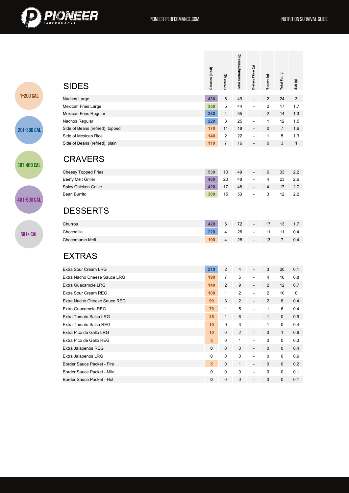

1-200 CAL

201-300 CAL

301-400 CAL

401-500 CAL

 $501 + CAL$ 

| <b>SIDES</b>                    | Calories (k/cal) | Protein (g)    | Total Carbohydrates (g) | Dietary Fibre (g)        | Sugars (g)     | Total Fat (g)  | Salt (g)     |
|---------------------------------|------------------|----------------|-------------------------|--------------------------|----------------|----------------|--------------|
| Nachos Large                    | 430              | 6              | 49                      | $\blacksquare$           | $\overline{2}$ | 24             | 3            |
| Mexican Fries Large             | 350              | 5              | 44                      |                          | $\overline{c}$ | 17             | 1.7          |
| Mexican Fries Regular           | 280              | 4              | 35                      | $\blacksquare$           | $\overline{2}$ | 14             | 1.3          |
| Nachos Regular                  | 220              | 3              | 25                      |                          | $\mathbf{1}$   | 12             | 1.5          |
| Side of Beans (refried), topped | 170              | 11             | 18                      | $\overline{a}$           | $\mathbf 0$    | $\overline{7}$ | 1.6          |
| Side of Mexican Rice            | 140              | $\overline{2}$ | 22                      |                          | $\mathbf{1}$   | 5              | 1.3          |
| Side of Beans (refried), plain  | 110              | 7              | 16                      | $\overline{\phantom{a}}$ | $\mathbf 0$    | 3              | $\mathbf{1}$ |
| <b>CRAVERS</b>                  |                  |                |                         |                          |                |                |              |
| <b>Cheesy Topped Fries</b>      | 530              | 10             | 49                      | $\overline{\phantom{a}}$ | 6              | 33             | 2.2          |
| Beefy Melt Griller              | 480              | 20             | 48                      |                          | 4              | 23             | 2.6          |
| Spicy Chicken Griller           | 420              | 17             | 48                      | $\overline{\phantom{a}}$ | 4              | 17             | 2.7          |
| <b>Bean Burrito</b>             | 380              | 15             | 53                      | $\overline{a}$           | 3              | 12             | 2.2          |
| <b>DESSERTS</b>                 |                  |                |                         |                          |                |                |              |
| Churros                         | 420              | 6              | 72                      |                          | 17             | 13             | 1.7          |
| Chocodilla                      | 220              | 4              | 26                      | $\overline{a}$           | 11             | 11             | 0.4          |
| <b>Chocomarsh Melt</b>          | 190              | 4              | 28                      |                          | 13             | $\overline{7}$ | 0.4          |
| <b>EXTRAS</b>                   |                  |                |                         |                          |                |                |              |
| <b>Extra Sour Cream LRG</b>     | 210              | $\overline{2}$ | 4                       | $\blacksquare$           | 3              | 20             | 0.1          |
| Extra Nacho Cheese Sauce LRG    | 190              | $\overline{7}$ | 5                       | $\overline{a}$           | 4              | 16             | 0.8          |
| <b>Extra Guacamole LRG</b>      | 140              | $\overline{c}$ | 9                       | $\blacksquare$           | $\overline{2}$ | 12             | 0.7          |
| Extra Sour Cream REG            | 100              | 1              | $\overline{2}$          | $\overline{a}$           | $\overline{2}$ | 10             | 0            |
| Extra Nacho Cheese Sauce REG    | 90               | 3              | $\overline{2}$          |                          | $\overline{2}$ | 8              | 0.4          |
| Extra Guacamole REG             | 70               | $\mathbf{1}$   | 5                       |                          | $\mathbf{1}$   | 6              | 0.4          |
| Extra Tomato Salsa LRG          | 25               | $\mathbf{1}$   | 6                       |                          | 1              | 0              | 0.9          |
| Extra Tomato Salsa REG          | 10               | 0              | 3                       |                          | $\mathbf{1}$   | 0              | 0.4          |
| Extra Pico de Gallo LRG         | 10               | 0              | $\overline{2}$          | $\blacksquare$           | $\mathbf 0$    | $\mathbf{1}$   | 0.6          |
| Extra Pico de Gallo REG         | 5 <sup>5</sup>   | 0              | $\mathbf{1}$            | $\overline{a}$           | 0              | 0              | 0.3          |
| Extra Jalapenos REG             | 0                | $\pmb{0}$      | 0                       | $\overline{\phantom{a}}$ | $\mathbf 0$    | 0              | 0.4          |
| Extra Jalapenos LRG             | 0                | 0              | $\pmb{0}$               | $\blacksquare$           | 0              | 0              | 0.9          |
| Border Sauce Packet - Fire      | 5 <sup>5</sup>   | 0              | $\mathbf{1}$            | $\blacksquare$           | $\mathbf 0$    | 0              | 0.2          |
| Border Sauce Packet - Mild      | 0                | $\pmb{0}$      | 0                       | $\blacksquare$           | 0              | 0              | 0.1          |
| Border Sauce Packet - Hot       | 0                | $\mathbf 0$    | 0                       | $\overline{\phantom{a}}$ | $\mathbf 0$    | $\mathbf 0$    | 0.1          |
|                                 |                  |                |                         |                          |                |                |              |